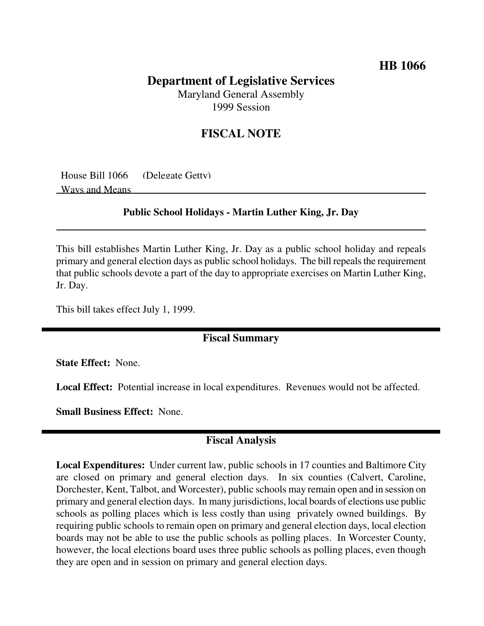# **HB 1066**

## **Department of Legislative Services** Maryland General Assembly

1999 Session

## **FISCAL NOTE**

House Bill 1066 (Delegate Getty) Ways and Means

#### **Public School Holidays - Martin Luther King, Jr. Day**

This bill establishes Martin Luther King, Jr. Day as a public school holiday and repeals primary and general election days as public school holidays. The bill repealsthe requirement that public schools devote a part of the day to appropriate exercises on Martin Luther King, Jr. Day.

This bill takes effect July 1, 1999.

### **Fiscal Summary**

**State Effect:** None.

**Local Effect:** Potential increase in local expenditures. Revenues would not be affected.

**Small Business Effect:** None.

## **Fiscal Analysis**

**Local Expenditures:** Under current law, public schools in 17 counties and Baltimore City are closed on primary and general election days. In six counties (Calvert, Caroline, Dorchester, Kent, Talbot, and Worcester), public schools may remain open and in session on primary and general election days. In many jurisdictions, local boards of elections use public schools as polling places which is less costly than using privately owned buildings. By requiring public schools to remain open on primary and general election days, local election boards may not be able to use the public schools as polling places. In Worcester County, however, the local elections board uses three public schools as polling places, even though they are open and in session on primary and general election days.